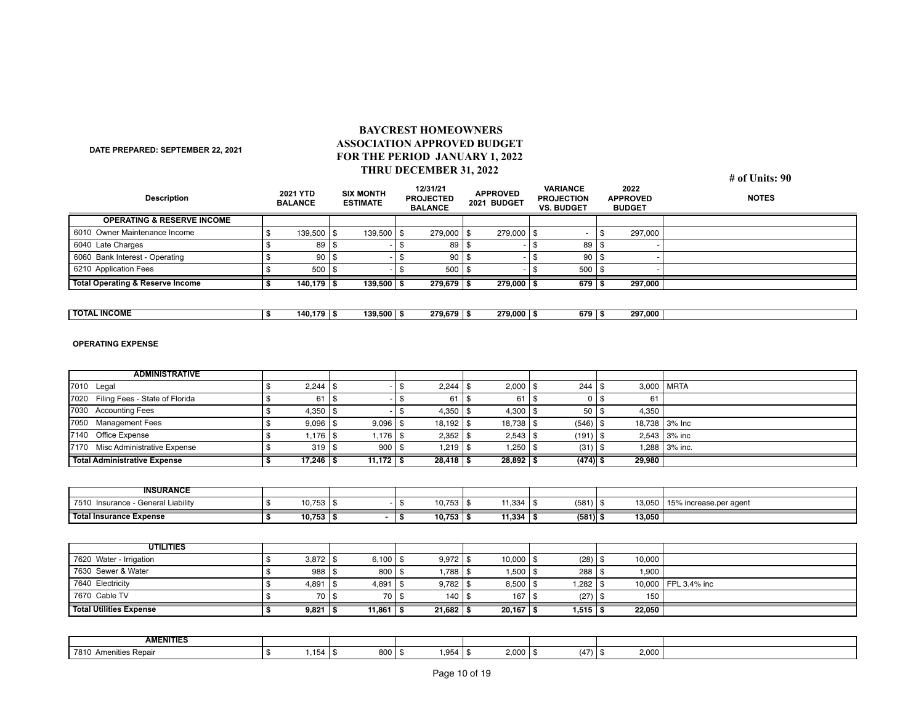## **BAYCREST HOMEOWNERS ASSOCIATION APPROVED BUDGET FOR THE PERIOD JANUARY 1, 2022 THRU DECEMBER 31, 2022**

**DATE PREPARED: SEPTEMBER 22, 2021**

## **# of Units: 90**

| <b>Description</b>                          | <b>2021 YTD</b><br><b>BALANCE</b> |             | <b>SIX MONTH</b><br><b>ESTIMATE</b> |              | 12/31/21<br><b>PROJECTED</b><br><b>BALANCE</b> | <b>APPROVED</b><br>2021 BUDGET |  | <b>VARIANCE</b><br><b>PROJECTION</b><br><b>VS. BUDGET</b> |  | 2022<br><b>APPROVED</b><br><b>BUDGET</b> |  | <b>NOTES</b> |  |
|---------------------------------------------|-----------------------------------|-------------|-------------------------------------|--------------|------------------------------------------------|--------------------------------|--|-----------------------------------------------------------|--|------------------------------------------|--|--------------|--|
| <b>OPERATING &amp; RESERVE INCOME</b>       |                                   |             |                                     |              |                                                |                                |  |                                                           |  |                                          |  |              |  |
| 6010 Owner Maintenance Income               |                                   | $139.500$ S |                                     | 139.500 S    |                                                | $279.000$ S                    |  | $279.000$ S                                               |  |                                          |  | 297.000      |  |
| 6040 Late Charges                           |                                   | 89   \$     |                                     |              |                                                | 89                             |  |                                                           |  | 89   \$                                  |  |              |  |
| 6060 Bank Interest - Operating              |                                   | 90          |                                     |              |                                                | 90                             |  |                                                           |  | $90$ S                                   |  |              |  |
| 6210 Application Fees                       |                                   | 500 S       |                                     |              |                                                | $500$ $\frac{1}{3}$            |  |                                                           |  | $500$ $\overline{\phantom{0}}$           |  |              |  |
| <b>Total Operating &amp; Reserve Income</b> |                                   | $140.179$ S |                                     | $139,500$ \$ |                                                | 279.679                        |  | 279,000                                                   |  | $679$ $\sqrt{5}$                         |  | 297.000      |  |

| <b>TOTAL INCOME</b> | 140.179∣° | $139.500$ S | 279.679 | 279.000 | 679 I ° | 297.000 |  |
|---------------------|-----------|-------------|---------|---------|---------|---------|--|
|                     |           |             |         |         |         |         |  |

## **OPERATING EXPENSE**

| <b>ADMINISTRATIVE</b>                  |                        |               |                     |                     |                    |               |                        |
|----------------------------------------|------------------------|---------------|---------------------|---------------------|--------------------|---------------|------------------------|
| 7010 Legal                             | $2,244$ \ \$<br>\$     |               | 2,244<br>\$         | $2,000$   \$<br>\$  | $244$ \ \$         | 3,000         | <b>MRTA</b>            |
| Filing Fees - State of Florida<br>7020 | 61                     | l \$          | 61<br>\$            | 61                  | \$<br>$\Omega$     | \$<br>61      |                        |
| <b>Accounting Fees</b><br>7030         | $4,350$   \$           |               | $4,350$ \ \$<br>\$  | 4,300 $\frac{1}{9}$ | 50                 | 4,350<br>\$   |                        |
| <b>Management Fees</b><br>7050         | $9,096$   \$           | 9,096         | 18,192<br>\$        | $18,738$ \ \$       | $(546)$ \$         | 18,738        | 3% Inc                 |
| Office Expense<br>7140                 | $1,176$   \$<br>\$     | 1,176         | $2,352$ \ \$<br>\$  | $2,543$ \ \$        | $(191)$ \$         |               | $2,543$ 3% inc         |
| 7170 Misc Administrative Expense       | $319$   \$             | 900           | $1,219$ \$<br>\$    | 1,250               | (31)<br>l \$       | 1,288<br>l \$ | 3% inc.                |
| <b>Total Administrative Expense</b>    | $17,246$ \ \$          | $11,172$   \$ | $28,418$ \ \$       | $28,892$ \$         | $(474)$ \$         | 29,980        |                        |
| <b>INSURANCE</b>                       |                        |               |                     |                     |                    |               |                        |
| 7510 Insurance - General Liability     | $10,753$ $\frac{1}{5}$ |               | $10,753$ \\$<br>\$  | 11,334              | $(581)$ \$<br>l \$ | 13,050        | 15% increase.per agent |
| <b>Total Insurance Expense</b>         | $10,753$   \$          |               | $10,753$   \$<br>\$ | 11,334              | $(581)$ \$<br>l \$ | 13,050        |                        |
|                                        |                        |               |                     |                     |                    |               |                        |
| <b>UTILITIES</b>                       |                        |               |                     |                     |                    |               |                        |
| 7620 Water - Irrigation                | $3,872$ \ \$<br>\$     | $6,100$ \$    | $9,972$ \$          | $10,000$   \$       | $(28)$ \$          | 10,000        |                        |
| 7630 Sewer & Water                     | $988  $ \$<br>\$       | 800           | 1,788<br>\$         | $1,500$   \$<br>. ጽ | $288$ \$           | 1,900         |                        |
| 7640 Electricity                       | 4,891<br>\$            | 4,891<br>l \$ | $9,782$ \$<br>\$    | $8,500$   \$        | $1,282$ \ \$       | 10,000        | FPL 3.4% inc           |
| 7670 Cable TV                          | 70                     | 70            | 140<br>\$           | 167                 | $(27)$ \$<br>ا \$  | 150           |                        |
| <b>Total Utilities Expense</b>         | $9,821$   \$           | $11,861$ \ \$ | $21,682$ \$         | $20,167$   \$       | $1,515$ \ \$       | 22,050        |                        |

| <b>AMENITIES</b>           |      |         |      |              |      |                     |  |
|----------------------------|------|---------|------|--------------|------|---------------------|--|
| 7810<br>Amen.<br>es Repair | ,154 | 800   ೯ | .954 | 000<br>Z,UUU | (47) | 2.000<br>. .<br>. . |  |

**\$** 9,821 \$ 11,861 \$ 21,682 \$ 20,167 \$ 1,515 \$ 22,050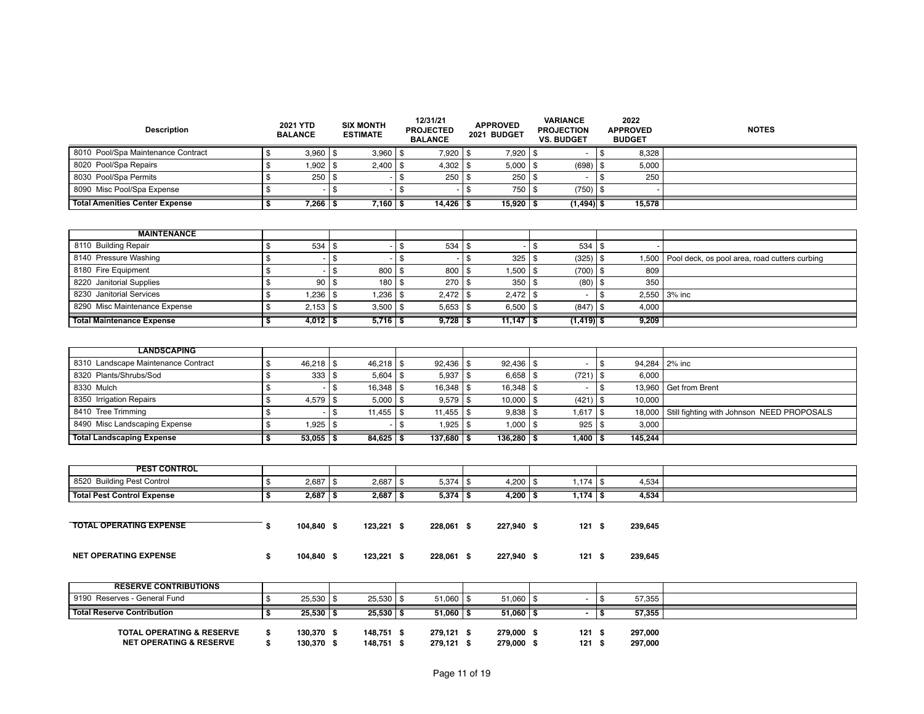| <b>Description</b>                                                         | 2021 YTD<br><b>BALANCE</b> |                          |      | <b>SIX MONTH</b><br><b>ESTIMATE</b> |                | 12/31/21<br><b>PROJECTED</b><br><b>BALANCE</b> |              | <b>APPROVED</b><br>2021 BUDGET |      | <b>VARIANCE</b><br><b>PROJECTION</b><br><b>VS. BUDGET</b> | 2022<br><b>APPROVED</b><br><b>BUDGET</b> |                    | <b>NOTES</b>                                  |
|----------------------------------------------------------------------------|----------------------------|--------------------------|------|-------------------------------------|----------------|------------------------------------------------|--------------|--------------------------------|------|-----------------------------------------------------------|------------------------------------------|--------------------|-----------------------------------------------|
| 8010 Pool/Spa Maintenance Contract                                         | \$                         | $3,960$ \ \$             |      | $3,960$ \$                          |                | 7,920 \$                                       |              | $7,920$   \$                   |      | $\sim$                                                    | \$                                       | 8,328              |                                               |
| 8020 Pool/Spa Repairs                                                      | \$                         | 1,902                    | l \$ | 2,400                               | \$             | 4,302                                          | \$           | 5,000                          | l \$ | (698)                                                     | \$                                       | 5,000              |                                               |
| 8030 Pool/Spa Permits                                                      | \$                         | $250$   \$               |      |                                     | $\mathfrak{s}$ | 250                                            | l \$         | $250$   \$                     |      | $\blacksquare$                                            | \$                                       | 250                |                                               |
| 8090 Misc Pool/Spa Expense                                                 | \$                         |                          | \$   |                                     | $\frac{1}{2}$  |                                                | $\mathbb{S}$ | $750$ \$                       |      | $(750)$ \$                                                |                                          |                    |                                               |
| <b>Total Amenities Center Expense</b>                                      | \$                         | $7,266$   \$             |      | $7,160$   \$                        |                | $14,426$   \$                                  |              | $15,920$   \$                  |      | $(1,494)$ \$                                              |                                          | 15,578             |                                               |
|                                                                            |                            |                          |      |                                     |                |                                                |              |                                |      |                                                           |                                          |                    |                                               |
| <b>MAINTENANCE</b>                                                         |                            |                          |      |                                     |                |                                                |              |                                |      |                                                           |                                          |                    |                                               |
| 8110 Building Repair                                                       | \$                         | $534$   \$               |      |                                     | $\frac{1}{2}$  | 534                                            | l \$         |                                | l \$ | $534$ \$                                                  |                                          |                    |                                               |
| 8140 Pressure Washing                                                      | \$                         |                          | \$   |                                     | \$             |                                                | $\mathbb{S}$ | 325                            | \$   | (325)                                                     | \$                                       | 1,500              | Pool deck, os pool area, road cutters curbing |
| 8180 Fire Equipment                                                        | \$                         |                          | \$   | 800                                 | \$             | 800                                            | \$           | $1,500$   \$                   |      | $(700)$ \$                                                |                                          | 809                |                                               |
| 8220 Janitorial Supplies                                                   | \$                         | 90                       | l \$ | 180                                 | $\frac{3}{2}$  | 270                                            | \$           | 350                            | l \$ | (80)                                                      | \$                                       | 350                |                                               |
| 8230 Janitorial Services                                                   | \$                         | $1,236$   \$             |      | 1,236                               | <b>S</b>       | $2,472$ \ \$                                   |              | $2,472$ \ \$                   |      | $\sim$                                                    | \$                                       |                    | 2,550 3% inc                                  |
| 8290 Misc Maintenance Expense                                              | \$                         | $2,153$   \$             |      | 3,500                               | $\frac{1}{2}$  | $5,653$ \$                                     |              | $6,500$   \$                   |      | (847)                                                     | $\frac{3}{2}$                            | 4,000              |                                               |
| <b>Total Maintenance Expense</b>                                           | \$                         | $4,012$   \$             |      | $5,716$ \ \$                        |                | $9,728$ \$                                     |              | $11,147$   \$                  |      | $(1, 419)$ \$                                             |                                          | 9,209              |                                               |
|                                                                            |                            |                          |      |                                     |                |                                                |              |                                |      |                                                           |                                          |                    |                                               |
| <b>LANDSCAPING</b>                                                         |                            |                          |      |                                     |                |                                                |              |                                |      |                                                           |                                          |                    |                                               |
| 8310 Landscape Maintenance Contract                                        | \$                         | $46,218$   \$            |      | 46,218                              | <b>S</b>       | $92,436$ \\$                                   |              | $92,436$   \$                  |      | $\blacksquare$                                            | \$                                       | 94,284             | 2% inc                                        |
| 8320 Plants/Shrubs/Sod                                                     | \$                         | $333$   \$               |      | 5,604                               | $\sqrt{3}$     | 5,937                                          | l \$         | $6,658$   \$                   |      | (721)                                                     | $\frac{3}{2}$                            | 6,000              |                                               |
| 8330 Mulch                                                                 | \$                         |                          | \$   | $16,348$ \ \$                       |                | $16,348$ \ \$                                  |              | $16,348$   \$                  |      | $\blacksquare$                                            | \$                                       | 13,960             | Get from Brent                                |
| 8350 Irrigation Repairs                                                    | \$                         | $4,579$ \\$              |      | 5,000                               | l \$           | $9,579$ \$                                     |              | $10,000$   \$                  |      | (421)                                                     | $\frac{3}{2}$                            | 10,000             |                                               |
| 8410 Tree Trimming                                                         | \$                         |                          | l \$ | 11,455                              | $\mathfrak{s}$ | $11,455$ \ \$                                  |              | $9,838$ \ \$                   |      | 1,617                                                     | \$                                       | 18,000             | Still fighting with Johnson NEED PROPOSALS    |
| 8490 Misc Landscaping Expense                                              | \$                         | 1,925                    | l \$ |                                     | \$             | $1,925$ \$                                     |              | $1,000$   \$                   |      | 925                                                       | \$                                       | 3,000              |                                               |
| <b>Total Landscaping Expense</b>                                           | \$                         | $53,055$   \$            |      | $84,625$ \ \$                       |                | $137,680$   \$                                 |              | $136,280$   \$                 |      | $1,400$   \$                                              |                                          | 145,244            |                                               |
|                                                                            |                            |                          |      |                                     |                |                                                |              |                                |      |                                                           |                                          |                    |                                               |
| <b>PEST CONTROL</b>                                                        |                            |                          |      |                                     |                |                                                |              |                                |      |                                                           |                                          |                    |                                               |
| 8520 Building Pest Control                                                 | \$                         | $2.687$ S                |      | $2,687$ \$                          |                | $5,374$ \ \ \$                                 |              | $4,200$   \$                   |      | 1,174                                                     | <b>S</b>                                 | 4,534              |                                               |
| <b>Total Pest Control Expense</b>                                          | \$                         | $2,687$ \$               |      | $2,687$ \$                          |                | $5,374$ \$                                     |              | $4,200$ \$                     |      | $7,174$ \$                                                |                                          | 4,534              |                                               |
| <b>TOTAL OPERATING EXPENSE</b>                                             | \$                         | 104,840 \$               |      | $123,221$ \$                        |                | 228,061 \$                                     |              | 227,940 \$                     |      | 121S                                                      |                                          | 239,645            |                                               |
| <b>NET OPERATING EXPENSE</b>                                               | \$                         | 104,840 \$               |      | $123,221$ \$                        |                | 228,061 \$                                     |              |                                |      | 121S                                                      |                                          |                    |                                               |
|                                                                            |                            |                          |      |                                     |                |                                                |              | 227,940 \$                     |      |                                                           |                                          | 239,645            |                                               |
| <b>RESERVE CONTRIBUTIONS</b>                                               |                            |                          |      |                                     |                |                                                |              |                                |      |                                                           |                                          |                    |                                               |
| 9190 Reserves - General Fund                                               | \$                         | $25,530$   \$            |      | $25,530$ \ \$                       |                | $51,060$ \ \$                                  |              | $51,060$   \$                  |      | $\sim$                                                    | \$                                       | 57,355             |                                               |
| <b>Total Reserve Contribution</b>                                          | \$                         | $25,530$ \$              |      | $25,530$ \$                         |                | $51,060$   \$                                  |              | $51,060$ \$                    |      | $\blacksquare$                                            | \$                                       | 57,355             |                                               |
| <b>TOTAL OPERATING &amp; RESERVE</b><br><b>NET OPERATING &amp; RESERVE</b> | \$<br>\$                   | 130,370 \$<br>130,370 \$ |      | 148,751 \$<br>148,751 \$            |                | 279,121 \$<br>279,121 \$                       |              | 279,000 \$<br>279,000 \$       |      | 121S<br>121S                                              |                                          | 297,000<br>297,000 |                                               |